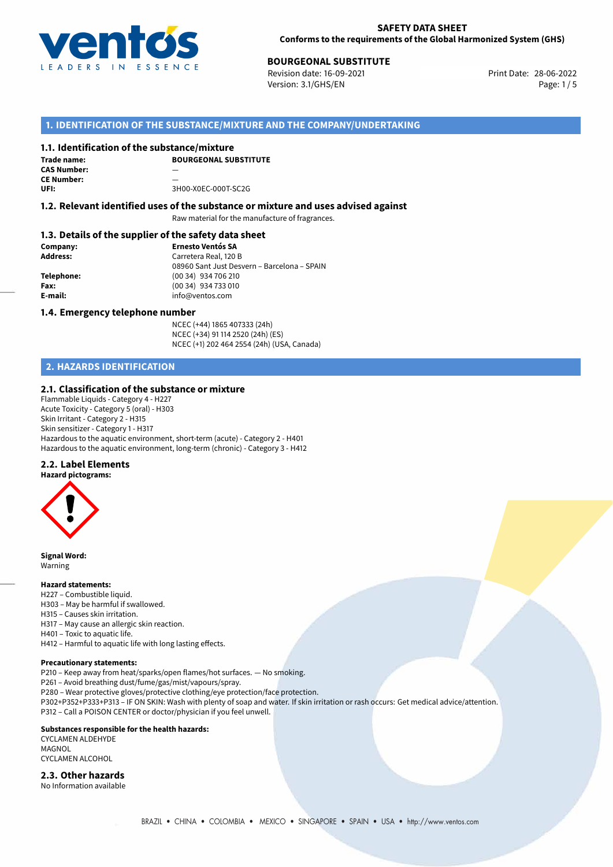

Revision date: 16-09-2021 Version: 3.1/GHS/EN Page: 1 / 5

# **1. IDENTIFICATION OF THE SUBSTANCE/MIXTURE AND THE COMPANY/UNDERTAKING**

#### **1.1. Identification of the substance/mixture**

**Trade name: CAS Number:** — **CE Number: UFI:** 3H00-X0EC-000T-SC2G

**BOURGEONAL SUBSTITUTE**

# **1.2. Relevant identified uses of the substance or mixture and uses advised against**

Raw material for the manufacture of fragrances.

# **1.3. Details of the supplier of the safety data sheet**

| Company:        | <b>Ernesto Ventós SA</b>                    |  |
|-----------------|---------------------------------------------|--|
| <b>Address:</b> | Carretera Real, 120 B                       |  |
|                 | 08960 Sant Just Desvern - Barcelona - SPAIN |  |
| Telephone:      | (00 34) 934 706 210                         |  |
| Fax:            | (00 34) 934 733 010                         |  |
| E-mail:         | info@ventos.com                             |  |
|                 |                                             |  |

## **1.4. Emergency telephone number**

NCEC (+44) 1865 407333 (24h) NCEC (+34) 91 114 2520 (24h) (ES) NCEC (+1) 202 464 2554 (24h) (USA, Canada)

# **2. HAZARDS IDENTIFICATION**

## **2.1. Classification of the substance or mixture**

Flammable Liquids - Category 4 - H227 Acute Toxicity - Category 5 (oral) - H303 Skin Irritant - Category 2 - H315 Skin sensitizer - Category 1 - H317 Hazardous to the aquatic environment, short-term (acute) - Category 2 - H401 Hazardous to the aquatic environment, long-term (chronic) - Category 3 - H412

#### **2.2. Label Elements**

**Hazard pictograms:**



**Signal Word:** Warning

## **Hazard statements:**

- H227 Combustible liquid.
- H303 May be harmful if swallowed.
- H315 Causes skin irritation.
- H317 May cause an allergic skin reaction.
- H401 Toxic to aquatic life.

H412 – Harmful to aquatic life with long lasting effects.

#### **Precautionary statements:**

P210 – Keep away from heat/sparks/open flames/hot surfaces. — No smoking.

P261 – Avoid breathing dust/fume/gas/mist/vapours/spray.

P280 – Wear protective gloves/protective clothing/eye protection/face protection.

P302+P352+P333+P313 – IF ON SKIN: Wash with plenty of soap and water. If skin irritation or rash occurs: Get medical advice/attention. P312 – Call a POISON CENTER or doctor/physician if you feel unwell.

## **Substances responsible for the health hazards:**

CYCLAMEN ALDEHYDE MAGNOL CYCLAMEN ALCOHOL

## **2.3. Other hazards**

No Information available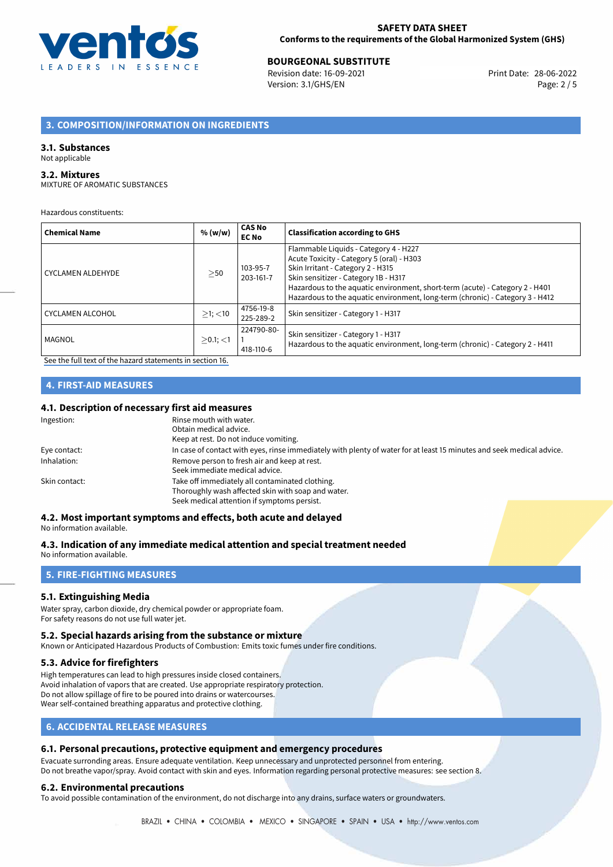

Revision date: 16-09-2021 Version: 3.1/GHS/EN Page: 2 / 5

# **3. COMPOSITION/INFORMATION ON INGREDIENTS**

## **3.1. Substances**

#### Not applicable

# **3.2. Mixtures**

MIXTURE OF AROMATIC SUBSTANCES

Hazardous constituents:

| <b>Chemical Name</b> | % (w/w)       | <b>CAS No</b><br><b>EC No</b> | <b>Classification according to GHS</b>                                                                                                                                                                                                                                                                                           |
|----------------------|---------------|-------------------------------|----------------------------------------------------------------------------------------------------------------------------------------------------------------------------------------------------------------------------------------------------------------------------------------------------------------------------------|
| CYCLAMEN ALDEHYDE    | >50           | 103-95-7<br>203-161-7         | Flammable Liquids - Category 4 - H227<br>Acute Toxicity - Category 5 (oral) - H303<br>Skin Irritant - Category 2 - H315<br>Skin sensitizer - Category 1B - H317<br>Hazardous to the aquatic environment, short-term (acute) - Category 2 - H401<br>Hazardous to the aquatic environment, long-term (chronic) - Category 3 - H412 |
| l CYCLAMEN ALCOHOL   | $>1$ ; $<$ 10 | 4756-19-8<br>225-289-2        | Skin sensitizer - Category 1 - H317                                                                                                                                                                                                                                                                                              |
| MAGNOL               | $>0.1$ ; <1   | 224790-80-<br>418-110-6       | Skin sensitizer - Category 1 - H317<br>Hazardous to the aquatic environment, long-term (chronic) - Category 2 - H411                                                                                                                                                                                                             |

[See the full text of the hazard statements in section 16.](#page-4-0)

# **4. FIRST-AID MEASURES**

## **4.1. Description of necessary first aid measures**

| Ingestion:    | Rinse mouth with water.                                                                                               |
|---------------|-----------------------------------------------------------------------------------------------------------------------|
|               | Obtain medical advice.                                                                                                |
|               | Keep at rest. Do not induce vomiting.                                                                                 |
| Eye contact:  | In case of contact with eyes, rinse immediately with plenty of water for at least 15 minutes and seek medical advice. |
| Inhalation:   | Remove person to fresh air and keep at rest.                                                                          |
|               | Seek immediate medical advice.                                                                                        |
| Skin contact: | Take off immediately all contaminated clothing.                                                                       |
|               | Thoroughly wash affected skin with soap and water.                                                                    |
|               | Seek medical attention if symptoms persist.                                                                           |
|               |                                                                                                                       |

## **4.2. Most important symptoms and effects, both acute and delayed**

No information available.

#### **4.3. Indication of any immediate medical attention and special treatment needed** No information available.

**5. FIRE-FIGHTING MEASURES**

# **5.1. Extinguishing Media**

Water spray, carbon dioxide, dry chemical powder or appropriate foam. For safety reasons do not use full water jet.

## **5.2. Special hazards arising from the substance or mixture**

Known or Anticipated Hazardous Products of Combustion: Emits toxic fumes under fire conditions.

## **5.3. Advice for firefighters**

High temperatures can lead to high pressures inside closed containers. Avoid inhalation of vapors that are created. Use appropriate respiratory protection. Do not allow spillage of fire to be poured into drains or watercourses. Wear self-contained breathing apparatus and protective clothing.

# **6. ACCIDENTAL RELEASE MEASURES**

## **6.1. Personal precautions, protective equipment and emergency procedures**

Evacuate surronding areas. Ensure adequate ventilation. Keep unnecessary and unprotected personnel from entering. Do not breathe vapor/spray. Avoid contact with skin and eyes. Information regarding personal protective measures: see section 8.

## **6.2. Environmental precautions**

To avoid possible contamination of the environment, do not discharge into any drains, surface waters or groundwaters.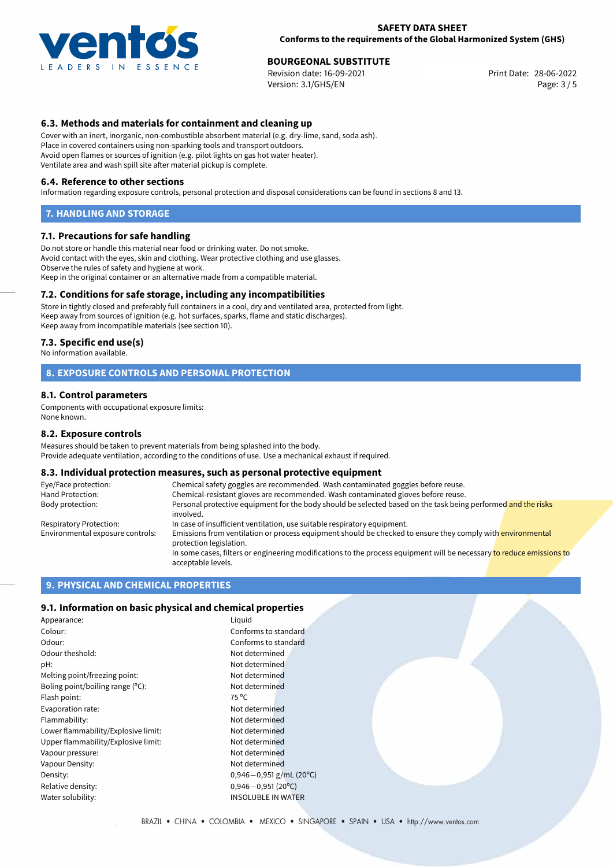

Revision date: 16-09-2021 Version: 3.1/GHS/EN Page: 3 / 5

# **6.3. Methods and materials for containment and cleaning up**

Cover with an inert, inorganic, non-combustible absorbent material (e.g. dry-lime, sand, soda ash). Place in covered containers using non-sparking tools and transport outdoors. Avoid open flames or sources of ignition (e.g. pilot lights on gas hot water heater). Ventilate area and wash spill site after material pickup is complete.

#### **6.4. Reference to other sections**

Information regarding exposure controls, personal protection and disposal considerations can be found in sections 8 and 13.

#### **7. HANDLING AND STORAGE**

#### **7.1. Precautions for safe handling**

Do not store or handle this material near food or drinking water. Do not smoke. Avoid contact with the eyes, skin and clothing. Wear protective clothing and use glasses. Observe the rules of safety and hygiene at work. Keep in the original container or an alternative made from a compatible material.

#### **7.2. Conditions for safe storage, including any incompatibilities**

Store in tightly closed and preferably full containers in a cool, dry and ventilated area, protected from light. Keep away from sources of ignition (e.g. hot surfaces, sparks, flame and static discharges). Keep away from incompatible materials (see section 10).

#### **7.3. Specific end use(s)**

No information available.

#### **8. EXPOSURE CONTROLS AND PERSONAL PROTECTION**

#### **8.1. Control parameters**

Components with occupational exposure limits: None known.

#### **8.2. Exposure controls**

Measures should be taken to prevent materials from being splashed into the body. Provide adequate ventilation, according to the conditions of use. Use a mechanical exhaust if required.

#### **8.3. Individual protection measures, such as personal protective equipment**

| Eye/Face protection:             | Chemical safety goggles are recommended. Wash contaminated goggles before reuse.                                                            |
|----------------------------------|---------------------------------------------------------------------------------------------------------------------------------------------|
| Hand Protection:                 | Chemical-resistant gloves are recommended. Wash contaminated gloves before reuse.                                                           |
| Body protection:                 | Personal protective equipment for the body should be selected based on the task being performed and the risks<br>involved.                  |
| Respiratory Protection:          | In case of insufficient ventilation, use suitable respiratory equipment.                                                                    |
| Environmental exposure controls: | Emissions from ventilation or process equipment should be checked to ensure they comply with environmental<br>protection legislation.       |
|                                  | In some cases, filters or engineering modifications to the process equipment will be necessary to reduce emissions to<br>acceptable levels. |

## **9. PHYSICAL AND CHEMICAL PROPERTIES**

## **9.1. Information on basic physical and chemical properties**

| Appearance:                         | Liguid                   |
|-------------------------------------|--------------------------|
| Colour:                             | Conforms to standard     |
| Odour:                              | Conforms to standard     |
| Odour theshold:                     | Not determined           |
| pH:                                 | Not determined           |
| Melting point/freezing point:       | Not determined           |
| Boling point/boiling range $(°C)$ : | Not determined           |
| Flash point:                        | $75^{\circ}$ C           |
| Evaporation rate:                   | Not determined           |
| Flammability:                       | Not determined           |
| Lower flammability/Explosive limit: | Not determined           |
| Upper flammability/Explosive limit: | Not determined           |
| Vapour pressure:                    | Not determined           |
| Vapour Density:                     | Not determined           |
| Density:                            | $0,946 - 0,951$ g/mL (20 |
| Relative density:                   | $0,946 - 0,951(20°C)$    |
| Water solubility <sup>.</sup>       | INSOLURI E IN WATER      |

51 g/<mark>mL (20°C)</mark><br>51 (20°C) IN WATER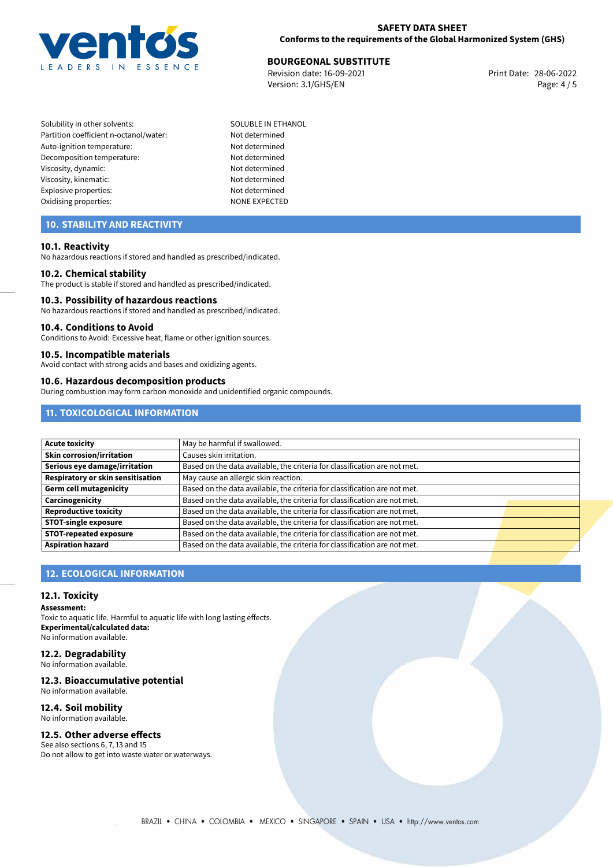

Revision date: 16-09-2021 Version: 3.1/GHS/EN Page: 4 / 5

Solubility in other solvents: SOLUBLE IN ETHANOL Partition coefficient n-octanol/water: Not determined Auto-ignition temperature: Not determined Decomposition temperature: Not determined Viscosity, dynamic: Not determined Viscosity, kinematic: Not determined Explosive properties: Not determined Oxidising properties: NONE EXPECTED

# **10. STABILITY AND REACTIVITY**

## **10.1. Reactivity**

No hazardous reactions if stored and handled as prescribed/indicated.

## **10.2. Chemical stability**

The product is stable if stored and handled as prescribed/indicated.

#### **10.3. Possibility of hazardous reactions**

No hazardous reactions if stored and handled as prescribed/indicated.

#### **10.4. Conditions to Avoid**

Conditions to Avoid: Excessive heat, flame or other ignition sources.

## **10.5. Incompatible materials**

Avoid contact with strong acids and bases and oxidizing agents.

## **10.6. Hazardous decomposition products**

During combustion may form carbon monoxide and unidentified organic compounds.

# **11. TOXICOLOGICAL INFORMATION**

| Acute toxicity                           | May be harmful if swallowed.                                              |  |
|------------------------------------------|---------------------------------------------------------------------------|--|
| <b>Skin corrosion/irritation</b>         | Causes skin irritation.                                                   |  |
| Serious eye damage/irritation            | Based on the data available, the criteria for classification are not met. |  |
| <b>Respiratory or skin sensitisation</b> | May cause an allergic skin reaction.                                      |  |
| Germ cell mutagenicity                   | Based on the data available, the criteria for classification are not met. |  |
| <b>Carcinogenicity</b>                   | Based on the data available, the criteria for classification are not met. |  |
| Reproductive toxicity                    | Based on the data available, the criteria for classification are not met. |  |
| <b>STOT-single exposure</b>              | Based on the data available, the criteria for classification are not met. |  |
| <b>STOT-repeated exposure</b>            | Based on the data available, the criteria for classification are not met. |  |
| <b>Aspiration hazard</b>                 | Based on the data available, the criteria for classification are not met. |  |

# **12. ECOLOGICAL INFORMATION**

## **12.1. Toxicity**

**Assessment:**

Toxic to aquatic life. Harmful to aquatic life with long lasting effects. **Experimental/calculated data:** No information available.

# **12.2. Degradability**

No information available.

# **12.3. Bioaccumulative potential**

No information available.

# **12.4. Soil mobility**

No information available.

# **12.5. Other adverse effects**

See also sections 6, 7, 13 and 15 Do not allow to get into waste water or waterways.